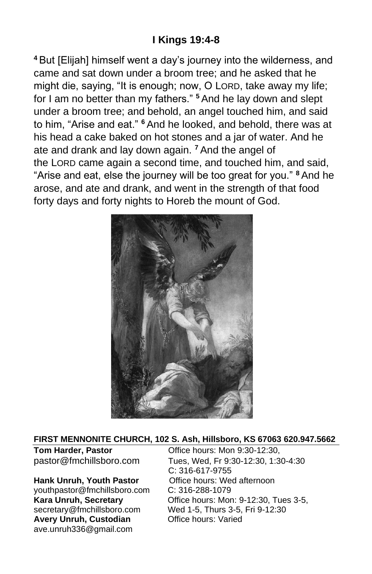# **I Kings 19:4-8**

**<sup>4</sup>** But [Elijah] himself went a day's journey into the wilderness, and came and sat down under a broom tree; and he asked that he might die, saying, "It is enough; now, O LORD, take away my life; for I am no better than my fathers." **<sup>5</sup>** And he lay down and slept under a broom tree; and behold, an angel touched him, and said to him, "Arise and eat." **<sup>6</sup>**And he looked, and behold, there was at his head a cake baked on hot stones and a jar of water. And he ate and drank and lay down again. **<sup>7</sup>** And the angel of the LORD came again a second time, and touched him, and said, "Arise and eat, else the journey will be too great for you." **<sup>8</sup>** And he arose, and ate and drank, and went in the strength of that food forty days and forty nights to Horeb the mount of God.



#### **FIRST MENNONITE CHURCH, 102 S. Ash, Hillsboro, KS 67063 620.947.5662**

#### Hank Unruh, Youth Pastor **Office hours: Wed afternoon**

[youthpastor@fmchillsboro.com](mailto:youthpastor@fmchillsboro.com) C: 316-288-1079 **Avery Unruh, Custodian Office hours: Varied** ave.unruh336@gmail.com

**Tom Harder, Pastor Conservery Conservery Conservery Program** pastor@fmchillsboro.com Tues, Wed, Fr 9:30-12:30, 1:30-4:30 C: 316-617-9755 **Kara Unruh, Secretary Character Constructs: Mon: 9-12:30, Tues 3-5,** secretary@fmchillsboro.com Wed 1-5, Thurs 3-5, Fri 9-12:30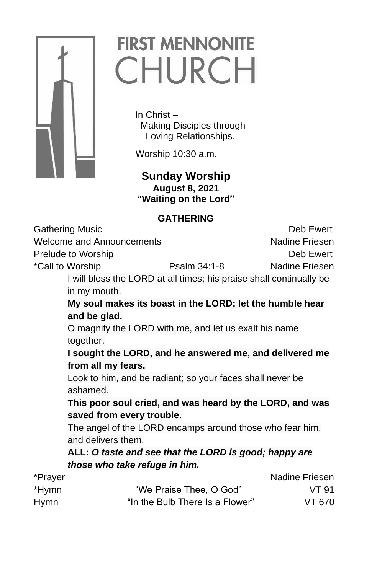

# **FIRST MENNONITE** CHURCH

In Christ – Making Disciples through Loving Relationships.

Worship 10:30 a.m.

### **Sunday Worship August 8, 2021 "Waiting on the Lord"**

## **GATHERING**

| <b>Gathering Music</b>    |                                                                     |                                 | Deb Ewert      |
|---------------------------|---------------------------------------------------------------------|---------------------------------|----------------|
| Welcome and Announcements |                                                                     |                                 | Nadine Friesen |
| Prelude to Worship        |                                                                     |                                 | Deb Ewert      |
|                           | *Call to Worship                                                    | Psalm 34:1-8                    | Nadine Friesen |
|                           | I will bless the LORD at all times; his praise shall continually be |                                 |                |
|                           | in my mouth.                                                        |                                 |                |
|                           | My soul makes its boast in the LORD; let the humble hear            |                                 |                |
|                           | and be glad.                                                        |                                 |                |
|                           | O magnify the LORD with me, and let us exalt his name               |                                 |                |
|                           | together.                                                           |                                 |                |
|                           | I sought the LORD, and he answered me, and delivered me             |                                 |                |
|                           | from all my fears.                                                  |                                 |                |
|                           | Look to him, and be radiant; so your faces shall never be           |                                 |                |
|                           | ashamed.                                                            |                                 |                |
|                           | This poor soul cried, and was heard by the LORD, and was            |                                 |                |
|                           | saved from every trouble.                                           |                                 |                |
|                           | The angel of the LORD encamps around those who fear him,            |                                 |                |
|                           | and delivers them.                                                  |                                 |                |
|                           | ALL: O taste and see that the LORD is good; happy are               |                                 |                |
|                           | those who take refuge in him.                                       |                                 |                |
| *Prayer                   |                                                                     |                                 | Nadine Friesen |
| *Hymn                     |                                                                     | "We Praise Thee, O God"         | VT 91          |
| <b>Hymn</b>               |                                                                     | "In the Bulb There Is a Flower" | VT 670         |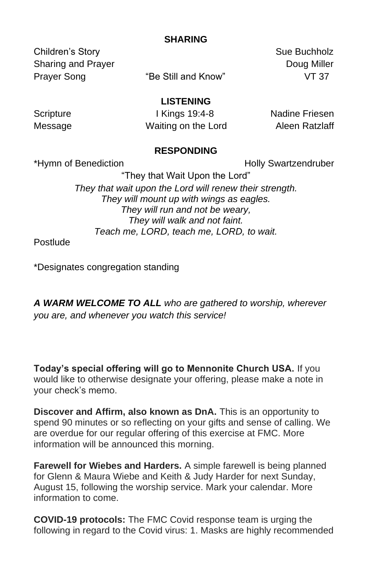### **SHARING**

Children's Story Sue Buchholz Sharing and Prayer **Doug Miller** Doug Miller Prayer Song **The Still and Know**" **VT 37** 

**LISTENING**

Scripture I Kings 19:4-8 Nadine Friesen Message **Manual Manual Waiting on the Lord** Aleen Ratzlaff

#### **RESPONDING**

\*Hymn of Benediction **Holly Swartzendruber** Holly Swartzendruber

"They that Wait Upon the Lord" *They that wait upon the Lord will renew their strength. They will mount up with wings as eagles. They will run and not be weary, They will walk and not faint. Teach me, LORD, teach me, LORD, to wait.*

**Postlude** 

\*Designates congregation standing

*A WARM WELCOME TO ALL who are gathered to worship, wherever you are, and whenever you watch this service!*

**Today's special offering will go to Mennonite Church USA.** If you would like to otherwise designate your offering, please make a note in your check's memo.

**Discover and Affirm, also known as DnA.** This is an opportunity to spend 90 minutes or so reflecting on your gifts and sense of calling. We are overdue for our regular offering of this exercise at FMC. More information will be announced this morning.

**Farewell for Wiebes and Harders.** A simple farewell is being planned for Glenn & Maura Wiebe and Keith & Judy Harder for next Sunday, August 15, following the worship service. Mark your calendar. More information to come.

**COVID-19 protocols:** The FMC Covid response team is urging the following in regard to the Covid virus: 1. Masks are highly recommended